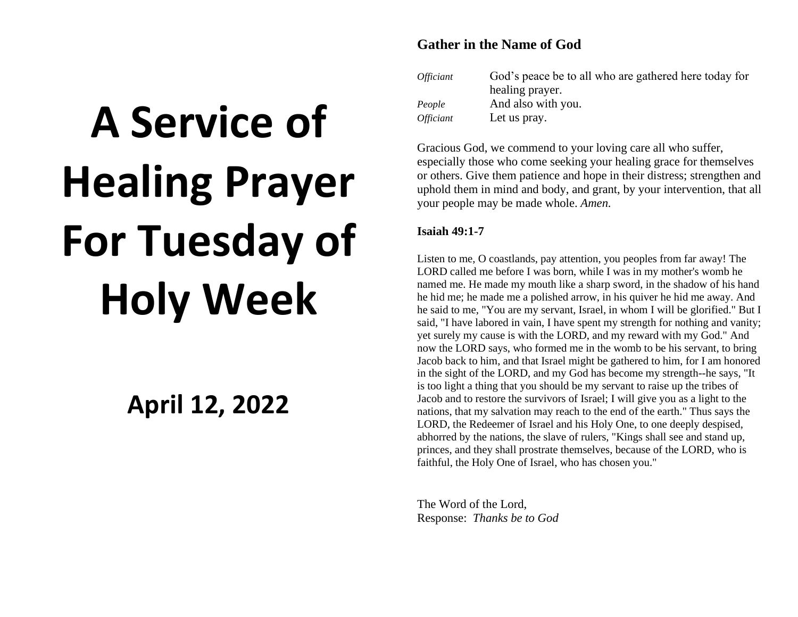# **A Service of Healing Prayer For Tuesday of Holy Week**

# **April 12, 2022**

### **Gather in the Name of God**

| <i>Officiant</i> | God's peace be to all who are gathered here today for |
|------------------|-------------------------------------------------------|
|                  | healing prayer.                                       |
| People           | And also with you.                                    |
| <i>Officiant</i> | Let us pray.                                          |

Gracious God, we commend to your loving care all who suffer, especially those who come seeking your healing grace for themselves or others. Give them patience and hope in their distress; strengthen and uphold them in mind and body, and grant, by your intervention, that all your people may be made whole. *Amen.*

#### **Isaiah 49:1-7**

Listen to me, O coastlands, pay attention, you peoples from far away! The LORD called me before I was born, while I was in my mother's womb he named me. He made my mouth like a sharp sword, in the shadow of his hand he hid me; he made me a polished arrow, in his quiver he hid me away. And he said to me, "You are my servant, Israel, in whom I will be glorified." But I said, "I have labored in vain, I have spent my strength for nothing and vanity; yet surely my cause is with the LORD, and my reward with my God." And now the LORD says, who formed me in the womb to be his servant, to bring Jacob back to him, and that Israel might be gathered to him, for I am honored in the sight of the LORD, and my God has become my strength--he says, "It is too light a thing that you should be my servant to raise up the tribes of Jacob and to restore the survivors of Israel; I will give you as a light to the nations, that my salvation may reach to the end of the earth." Thus says the LORD, the Redeemer of Israel and his Holy One, to one deeply despised, abhorred by the nations, the slave of rulers, "Kings shall see and stand up, princes, and they shall prostrate themselves, because of the LORD, who is faithful, the Holy One of Israel, who has chosen you."

The Word of the Lord, Response: *Thanks be to God*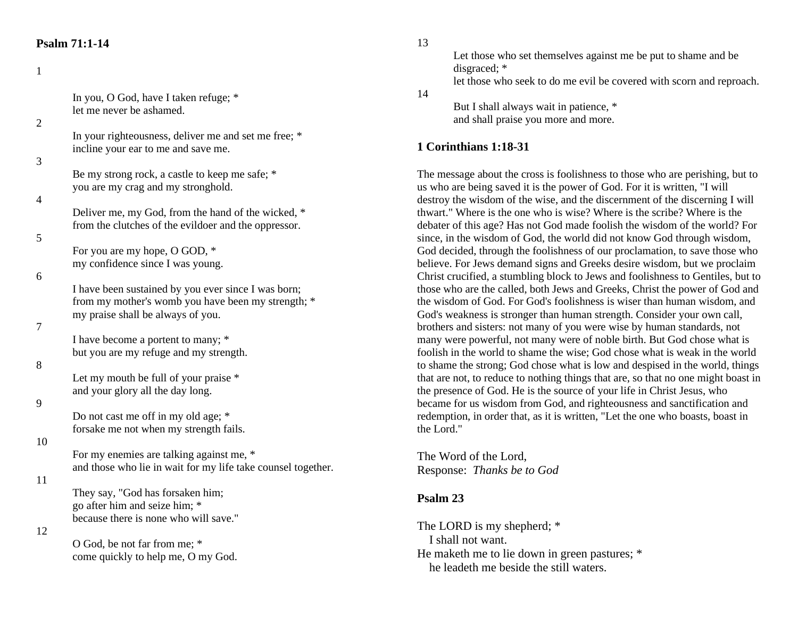#### **Psalm 71:1-14**

1

2

3

4

5

6

In you, O God, have I taken refuge; \* let me never be ashamed.

In your righteousness, deliver me and set me free; \* incline your ear to me and save me.

Be my strong rock, a castle to keep me safe; \* you are my crag and my stronghold.

Deliver me, my God, from the hand of the wicked, \* from the clutches of the evildoer and the oppressor.

For you are my hope, O GOD, \* my confidence since I was young.

I have been sustained by you ever since I was born; from my mother's womb you have been my strength; \* my praise shall be always of you.

7

8

9

I have become a portent to many; \* but you are my refuge and my strength.

Let my mouth be full of your praise  $*$ and your glory all the day long.

Do not cast me off in my old age; \* forsake me not when my strength fails.

10

For my enemies are talking against me, \* and those who lie in wait for my life take counsel together.

11

They say, "God has forsaken him; go after him and seize him; \* because there is none who will save."

12

O God, be not far from me; \* come quickly to help me, O my God. 13

Let those who set themselves against me be put to shame and be disgraced; \*

let those who seek to do me evil be covered with scorn and reproach.

14

But I shall always wait in patience, \* and shall praise you more and more.

#### **1 Corinthians 1:18-31**

The message about the cross is foolishness to those who are perishing, but to us who are being saved it is the power of God. For it is written, "I will destroy the wisdom of the wise, and the discernment of the discerning I will thwart." Where is the one who is wise? Where is the scribe? Where is the debater of this age? Has not God made foolish the wisdom of the world? For since, in the wisdom of God, the world did not know God through wisdom, God decided, through the foolishness of our proclamation, to save those who believe. For Jews demand signs and Greeks desire wisdom, but we proclaim Christ crucified, a stumbling block to Jews and foolishness to Gentiles, but to those who are the called, both Jews and Greeks, Christ the power of God and the wisdom of God. For God's foolishness is wiser than human wisdom, and God's weakness is stronger than human strength. Consider your own call, brothers and sisters: not many of you were wise by human standards, not many were powerful, not many were of noble birth. But God chose what is foolish in the world to shame the wise; God chose what is weak in the world to shame the strong; God chose what is low and despised in the world, things that are not, to reduce to nothing things that are, so that no one might boast in the presence of God. He is the source of your life in Christ Jesus, who became for us wisdom from God, and righteousness and sanctification and redemption, in order that, as it is written, "Let the one who boasts, boast in the Lord."

The Word of the Lord, Response: *Thanks be to God*

#### **Psalm 23**

The LORD is my shepherd; \* I shall not want. He maketh me to lie down in green pastures; \* he leadeth me beside the still waters.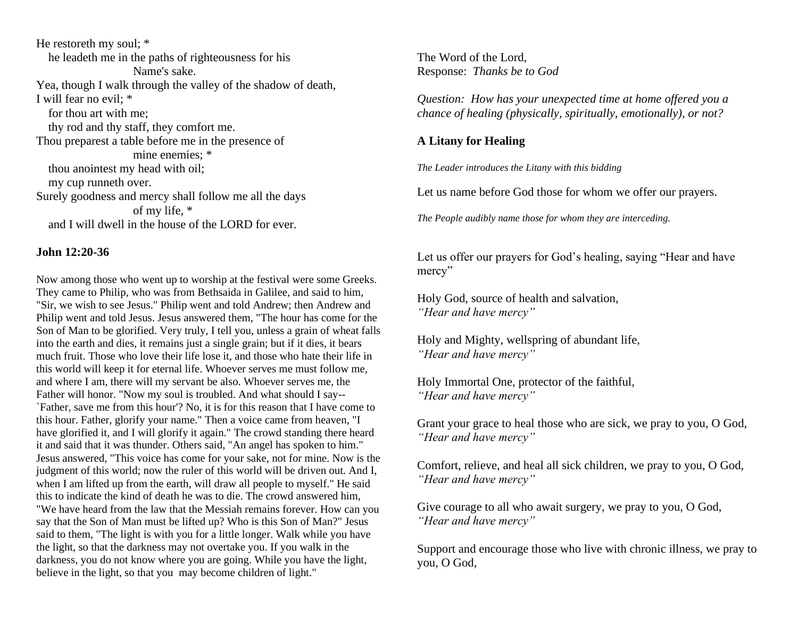He restoreth my soul; \* he leadeth me in the paths of righteousness for his Name's sake. Yea, though I walk through the valley of the shadow of death, I will fear no evil; \* for thou art with me; thy rod and thy staff, they comfort me. Thou preparest a table before me in the presence of mine enemies; \* thou anointest my head with oil; my cup runneth over. Surely goodness and mercy shall follow me all the days of my life, \* and I will dwell in the house of the LORD for ever.

#### **John 12:20-36**

Now among those who went up to worship at the festival were some Greeks. They came to Philip, who was from Bethsaida in Galilee, and said to him, "Sir, we wish to see Jesus." Philip went and told Andrew; then Andrew and Philip went and told Jesus. Jesus answered them, "The hour has come for the Son of Man to be glorified. Very truly, I tell you, unless a grain of wheat falls into the earth and dies, it remains just a single grain; but if it dies, it bears much fruit. Those who love their life lose it, and those who hate their life in this world will keep it for eternal life. Whoever serves me must follow me, and where I am, there will my servant be also. Whoever serves me, the Father will honor. "Now my soul is troubled. And what should I say-- `Father, save me from this hour'? No, it is for this reason that I have come to this hour. Father, glorify your name." Then a voice came from heaven, "I have glorified it, and I will glorify it again." The crowd standing there heard it and said that it was thunder. Others said, "An angel has spoken to him." Jesus answered, "This voice has come for your sake, not for mine. Now is the judgment of this world; now the ruler of this world will be driven out. And I, when I am lifted up from the earth, will draw all people to myself." He said this to indicate the kind of death he was to die. The crowd answered him, "We have heard from the law that the Messiah remains forever. How can you say that the Son of Man must be lifted up? Who is this Son of Man?" Jesus said to them, "The light is with you for a little longer. Walk while you have the light, so that the darkness may not overtake you. If you walk in the darkness, you do not know where you are going. While you have the light, believe in the light, so that you may become children of light."

The Word of the Lord, Response: *Thanks be to God*

*Question: How has your unexpected time at home offered you a chance of healing (physically, spiritually, emotionally), or not?*

#### **A Litany for Healing**

*The Leader introduces the Litany with this bidding*

Let us name before God those for whom we offer our prayers.

*The People audibly name those for whom they are interceding.*

Let us offer our prayers for God's healing, saying "Hear and have mercy"

Holy God, source of health and salvation, *"Hear and have mercy"*

Holy and Mighty, wellspring of abundant life, *"Hear and have mercy"*

Holy Immortal One, protector of the faithful, *"Hear and have mercy"*

Grant your grace to heal those who are sick, we pray to you, O God, *"Hear and have mercy"*

Comfort, relieve, and heal all sick children, we pray to you, O God, *"Hear and have mercy"*

Give courage to all who await surgery, we pray to you, O God, *"Hear and have mercy"*

Support and encourage those who live with chronic illness, we pray to you, O God,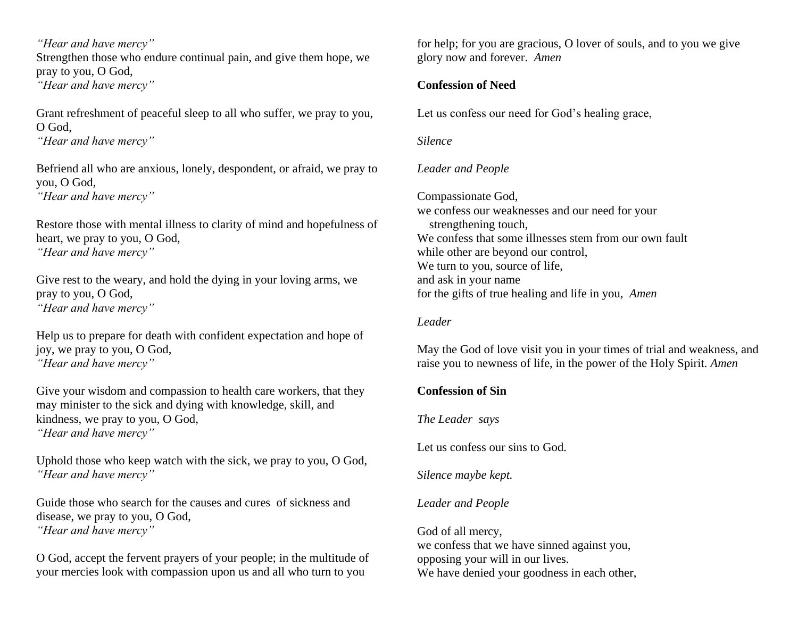*"Hear and have mercy"*

Strengthen those who endure continual pain, and give them hope, we pray to you, O God, *"Hear and have mercy"*

Grant refreshment of peaceful sleep to all who suffer, we pray to you, O God, *"Hear and have mercy"*

Befriend all who are anxious, lonely, despondent, or afraid, we pray to you, O God, *"Hear and have mercy"*

Restore those with mental illness to clarity of mind and hopefulness of heart, we pray to you, O God, *"Hear and have mercy"*

Give rest to the weary, and hold the dying in your loving arms, we pray to you, O God, *"Hear and have mercy"*

Help us to prepare for death with confident expectation and hope of joy, we pray to you, O God, *"Hear and have mercy"*

Give your wisdom and compassion to health care workers, that they may minister to the sick and dying with knowledge, skill, and kindness, we pray to you, O God, *"Hear and have mercy"*

Uphold those who keep watch with the sick, we pray to you, O God, *"Hear and have mercy"*

Guide those who search for the causes and cures of sickness and disease, we pray to you, O God, *"Hear and have mercy"*

O God, accept the fervent prayers of your people; in the multitude of your mercies look with compassion upon us and all who turn to you

for help; for you are gracious, O lover of souls, and to you we give glory now and forever. *Amen*

#### **Confession of Need**

Let us confess our need for God's healing grace,

*Silence*

# *Leader and People*

Compassionate God, we confess our weaknesses and our need for your strengthening touch, We confess that some illnesses stem from our own fault while other are beyond our control, We turn to you, source of life, and ask in your name for the gifts of true healing and life in you, *Amen*

#### *Leader*

May the God of love visit you in your times of trial and weakness, and raise you to newness of life, in the power of the Holy Spirit. *Amen*

# **Confession of Sin**

# *The Leader says*

Let us confess our sins to God.

*Silence maybe kept.*

# *Leader and People*

God of all mercy, we confess that we have sinned against you, opposing your will in our lives. We have denied your goodness in each other,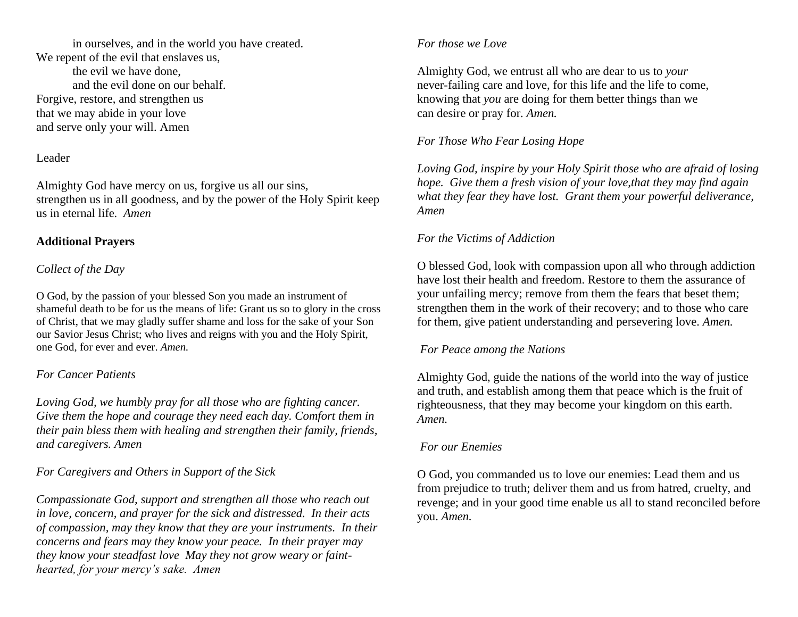in ourselves, and in the world you have created. We repent of the evil that enslaves us, the evil we have done, and the evil done on our behalf. Forgive, restore, and strengthen us that we may abide in your love and serve only your will. Amen

#### Leader

Almighty God have mercy on us, forgive us all our sins, strengthen us in all goodness, and by the power of the Holy Spirit keep us in eternal life*. Amen*

#### **Additional Prayers**

#### *Collect of the Day*

O God, by the passion of your blessed Son you made an instrument of shameful death to be for us the means of life: Grant us so to glory in the cross of Christ, that we may gladly suffer shame and loss for the sake of your Son our Savior Jesus Christ; who lives and reigns with you and the Holy Spirit, one God, for ever and ever. *Amen.*

#### *For Cancer Patients*

*Loving God, we humbly pray for all those who are fighting cancer. Give them the hope and courage they need each day. Comfort them in their pain bless them with healing and strengthen their family, friends, and caregivers. Amen*

#### *For Caregivers and Others in Support of the Sick*

*Compassionate God, support and strengthen all those who reach out in love, concern, and prayer for the sick and distressed. In their acts of compassion, may they know that they are your instruments. In their concerns and fears may they know your peace. In their prayer may they know your steadfast love May they not grow weary or fainthearted, for your mercy's sake. Amen*

#### *For those we Love*

Almighty God, we entrust all who are dear to us to *your* never-failing care and love, for this life and the life to come, knowing that *you* are doing for them better things than we can desire or pray for. *Amen.* 

#### *For Those Who Fear Losing Hope*

*Loving God, inspire by your Holy Spirit those who are afraid of losing hope. Give them a fresh vision of your love,that they may find again what they fear they have lost. Grant them your powerful deliverance, Amen*

#### *For the Victims of Addiction*

O blessed God, look with compassion upon all who through addiction have lost their health and freedom. Restore to them the assurance of your unfailing mercy; remove from them the fears that beset them; strengthen them in the work of their recovery; and to those who care for them, give patient understanding and persevering love. *Amen.*

#### *For Peace among the Nations*

Almighty God, guide the nations of the world into the way of justice and truth, and establish among them that peace which is the fruit of righteousness, that they may become your kingdom on this earth. *Amen.*

#### *For our Enemies*

O God, you commanded us to love our enemies: Lead them and us from prejudice to truth; deliver them and us from hatred, cruelty, and revenge; and in your good time enable us all to stand reconciled before you. *Amen.*